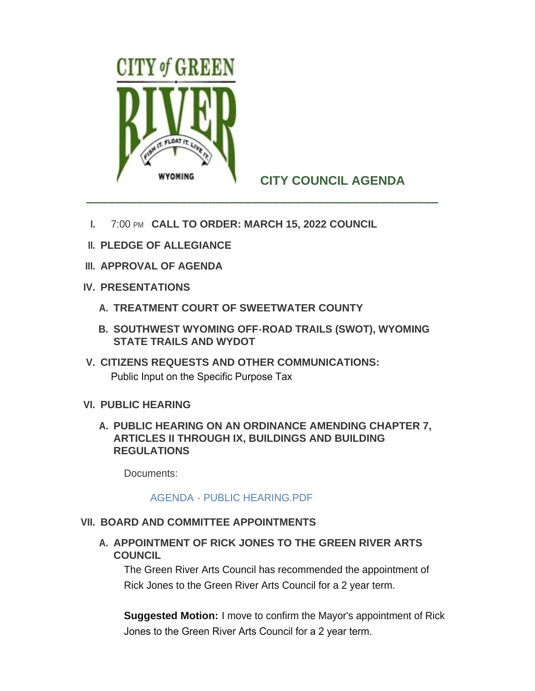

# **CITY COUNCIL AGENDA**

- **I.** 7:00 PM CALL TO ORDER: MARCH 15, 2022 COUNCIL
- **PLEDGE OF ALLEGIANCE II.**
- **APPROVAL OF AGENDA III.**
- **PRESENTATIONS IV.**
	- **TREATMENT COURT OF SWEETWATER COUNTY A.**
	- **SOUTHWEST WYOMING OFF-ROAD TRAILS (SWOT), WYOMING B. STATE TRAILS AND WYDOT**
- **CITIZENS REQUESTS AND OTHER COMMUNICATIONS: V.** Public Input on the Specific Purpose Tax
- **PUBLIC HEARING VI.**
	- **PUBLIC HEARING ON AN ORDINANCE AMENDING CHAPTER 7, A. ARTICLES II THROUGH IX, BUILDINGS AND BUILDING REGULATIONS**

Documents:

## [AGENDA - PUBLIC HEARING.PDF](http://cityofgreenriver.org/AgendaCenter/ViewFile/Item/8037?fileID=50038)

# **BOARD AND COMMITTEE APPOINTMENTS VII.**

A. APPOINTMENT OF RICK JONES TO THE GREEN RIVER ARTS **COUNCIL** 

The Green River Arts Council has recommended the appointment of Rick Jones to the Green River Arts Council for a 2 year term.

**Suggested Motion:** I move to confirm the Mayor's appointment of Rick Jones to the Green River Arts Council for a 2 year term.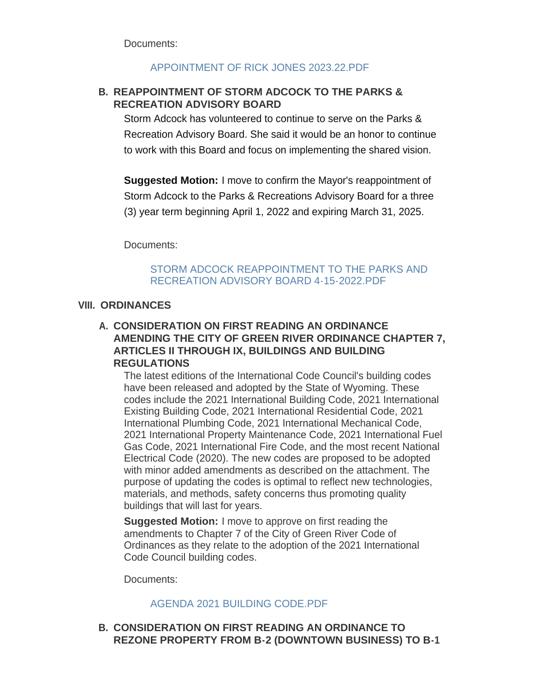Documents:

## [APPOINTMENT OF RICK JONES 2023.22.PDF](http://cityofgreenriver.org/AgendaCenter/ViewFile/Item/8018?fileID=49630)

# **REAPPOINTMENT OF STORM ADCOCK TO THE PARKS & B. RECREATION ADVISORY BOARD**

Storm Adcock has volunteered to continue to serve on the Parks & Recreation Advisory Board. She said it would be an honor to continue to work with this Board and focus on implementing the shared vision.

**Suggested Motion:** I move to confirm the Mayor's reappointment of Storm Adcock to the Parks & Recreations Advisory Board for a three (3) year term beginning April 1, 2022 and expiring March 31, 2025.

Documents:

## [STORM ADCOCK REAPPOINTMENT TO THE PARKS AND](http://cityofgreenriver.org/AgendaCenter/ViewFile/Item/8040?fileID=50178)  RECREATION ADVISORY BOARD 4-15-2022.PDF

#### **ORDINANCES VIII.**

# **CONSIDERATION ON FIRST READING AN ORDINANCE A. AMENDING THE CITY OF GREEN RIVER ORDINANCE CHAPTER 7, ARTICLES II THROUGH IX, BUILDINGS AND BUILDING REGULATIONS**

The latest editions of the International Code Council's building codes have been released and adopted by the State of Wyoming. These codes include the 2021 International Building Code, 2021 International Existing Building Code, 2021 International Residential Code, 2021 International Plumbing Code, 2021 International Mechanical Code, 2021 International Property Maintenance Code, 2021 International Fuel Gas Code, 2021 International Fire Code, and the most recent National Electrical Code (2020). The new codes are proposed to be adopted with minor added amendments as described on the attachment. The purpose of updating the codes is optimal to reflect new technologies, materials, and methods, safety concerns thus promoting quality buildings that will last for years.

**Suggested Motion:** I move to approve on first reading the amendments to Chapter 7 of the City of Green River Code of Ordinances as they relate to the adoption of the 2021 International Code Council building codes.

Documents:

## [AGENDA 2021 BUILDING CODE.PDF](http://cityofgreenriver.org/AgendaCenter/ViewFile/Item/7952?fileID=50613)

## **CONSIDERATION ON FIRST READING AN ORDINANCE TO B. REZONE PROPERTY FROM B-2 (DOWNTOWN BUSINESS) TO B-1**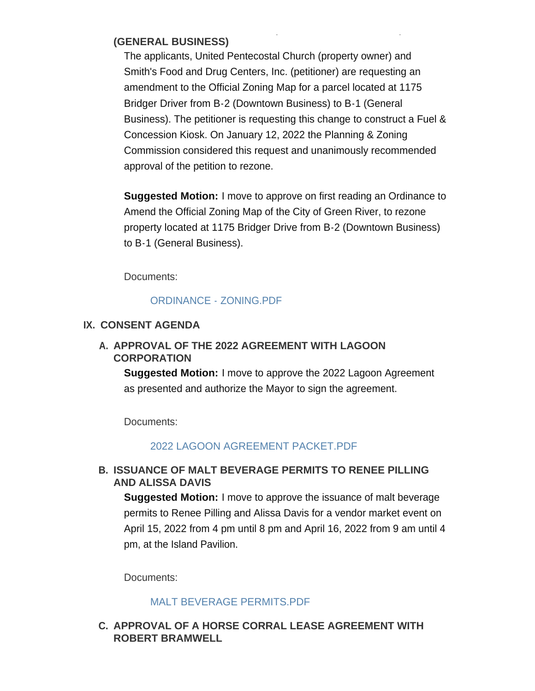#### **REZONE PROPERTY FROM B-2 (DOWNTOWN BUSINESS) TO B-1 (GENERAL BUSINESS)**

The applicants, United Pentecostal Church (property owner) and Smith's Food and Drug Centers, Inc. (petitioner) are requesting an amendment to the Official Zoning Map for a parcel located at 1175 Bridger Driver from B-2 (Downtown Business) to B-1 (General Business). The petitioner is requesting this change to construct a Fuel & Concession Kiosk. On January 12, 2022 the Planning & Zoning Commission considered this request and unanimously recommended approval of the petition to rezone.

**Suggested Motion:** I move to approve on first reading an Ordinance to Amend the Official Zoning Map of the City of Green River, to rezone property located at 1175 Bridger Drive from B-2 (Downtown Business) to B-1 (General Business).

Documents:

## [ORDINANCE - ZONING.PDF](http://cityofgreenriver.org/AgendaCenter/ViewFile/Item/8038?fileID=50039)

## **CONSENT AGENDA IX.**

# A. APPROVAL OF THE 2022 AGREEMENT WITH LAGOON **CORPORATION**

**Suggested Motion:** I move to approve the 2022 Lagoon Agreement as presented and authorize the Mayor to sign the agreement.

Documents:

## [2022 LAGOON AGREEMENT PACKET.PDF](http://cityofgreenriver.org/AgendaCenter/ViewFile/Item/8036?fileID=49723)

## **ISSUANCE OF MALT BEVERAGE PERMITS TO RENEE PILLING B. AND ALISSA DAVIS**

**Suggested Motion:** I move to approve the issuance of malt beverage permits to Renee Pilling and Alissa Davis for a vendor market event on April 15, 2022 from 4 pm until 8 pm and April 16, 2022 from 9 am until 4 pm, at the Island Pavilion.

Documents:

#### [MALT BEVERAGE PERMITS.PDF](http://cityofgreenriver.org/AgendaCenter/ViewFile/Item/8039?fileID=50179)

## **APPROVAL OF A HORSE CORRAL LEASE AGREEMENT WITH C. ROBERT BRAMWELL**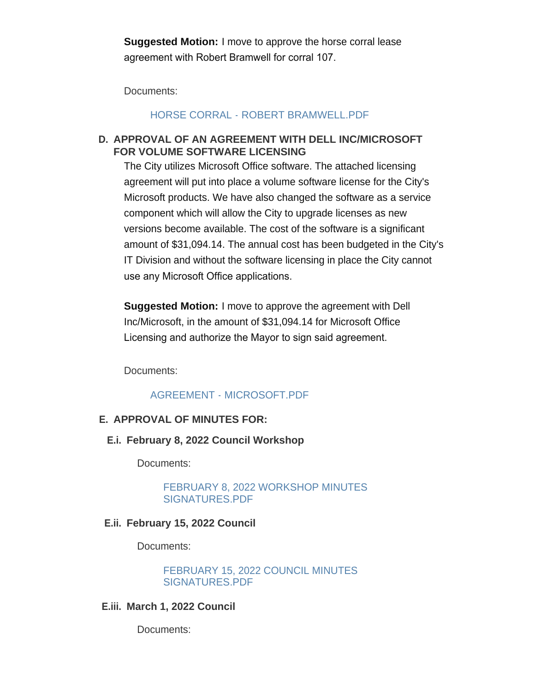**Suggested Motion:** I move to approve the horse corral lease agreement with Robert Bramwell for corral 107.

Documents:

#### [HORSE CORRAL - ROBERT BRAMWELL.PDF](http://cityofgreenriver.org/AgendaCenter/ViewFile/Item/8044?fileID=50180)

## **APPROVAL OF AN AGREEMENT WITH DELL INC/MICROSOFT D. FOR VOLUME SOFTWARE LICENSING**

The City utilizes Microsoft Office software. The attached licensing agreement will put into place a volume software license for the City's Microsoft products. We have also changed the software as a service component which will allow the City to upgrade licenses as new versions become available. The cost of the software is a significant amount of \$31,094.14. The annual cost has been budgeted in the City's IT Division and without the software licensing in place the City cannot use any Microsoft Office applications.

**Suggested Motion:** I move to approve the agreement with Dell Inc/Microsoft, in the amount of \$31,094.14 for Microsoft Office Licensing and authorize the Mayor to sign said agreement.

Documents:

## [AGREEMENT - MICROSOFT.PDF](http://cityofgreenriver.org/AgendaCenter/ViewFile/Item/8069?fileID=50428)

#### **APPROVAL OF MINUTES FOR: E.**

**February 8, 2022 Council Workshop E.i.**

Documents:

[FEBRUARY 8, 2022 WORKSHOP MINUTES](http://cityofgreenriver.org/AgendaCenter/ViewFile/Item/8046?fileID=50317)  SIGNATURES.PDF

#### **February 15, 2022 Council E.ii.**

Documents:

[FEBRUARY 15, 2022 COUNCIL MINUTES](http://cityofgreenriver.org/AgendaCenter/ViewFile/Item/8047?fileID=50318)  SIGNATURES.PDF

**March 1, 2022 Council E.iii.**

Documents: